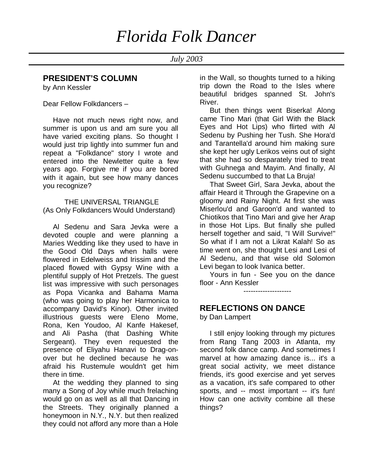# **PRESIDENT'S COLUMN**

by Ann Kessler

Dear Fellow Folkdancers –

 Have not much news right now, and summer is upon us and am sure you all have varied exciting plans. So thought I would just trip lightly into summer fun and repeat a "Folkdance" story I wrote and entered into the Newletter quite a few years ago. Forgive me if you are bored with it again, but see how many dances you recognize?

# THE UNIVERSAL TRIANGLE (As Only Folkdancers Would Understand)

 Al Sedenu and Sara Jevka were a devoted couple and were planning a Maries Wedding like they used to have in the Good Old Days when halls were flowered in Edelweiss and Irissim and the placed flowed with Gypsy Wine with a plentiful supply of Hot Pretzels. The guest list was impressive with such personages as Popa Vicanka and Bahama Mama (who was going to play her Harmonica to accompany David's Kinor). Other invited illustrious guests were Eleno Mome, Rona, Ken Youdoo, Al Kanfe Hakesef, and Ali Pasha (that Dashing White Sergeant). They even requested the presence of Eliyahu Hanavi to Drag-onover but he declined because he was afraid his Rustemule wouldn't get him there in time.

 At the wedding they planned to sing many a Song of Joy while much frelaching would go on as well as all that Dancing in the Streets. They originally planned a honeymoon in N.Y., N.Y. but then realized they could not afford any more than a Hole in the Wall, so thoughts turned to a hiking trip down the Road to the Isles where beautiful bridges spanned St. John's River.

 But then things went Biserka! Along came Tino Mari (that Girl With the Black Eyes and Hot Lips) who flirted with Al Sedenu by Pushing her Tush. She Hora'd and Tarantella'd around him making sure she kept her ugly Lerikos veins out of sight that she had so desparately tried to treat with Guhnega and Mayim. And finally, Al Sedenu succumbed to that La Bruja!

 That Sweet Girl, Sara Jevka, about the affair Heard it Through the Grapevine on a gloomy and Rainy Night. At first she was Miserlou'd and Garoon'd and wanted to Chiotikos that Tino Mari and give her Arap in those Hot Lips. But finally she pulled herself together and said, "I Will Survive!" So what if I am not a Likrat Kalah! So as time went on, she thought Lesi and Lesi of Al Sedenu, and that wise old Solomon Levi began to look Ivanica better.

 Yours in fun - See you on the dance floor - Ann Kessler

--------------------

# **REFLECTIONS ON DANCE**

by Dan Lampert

 I still enjoy looking through my pictures from Rang Tang 2003 in Atlanta, my second folk dance camp. And sometimes I marvel at how amazing dance is... it's a great social activity, we meet distance friends, it's good exercise and yet serves as a vacation, it's safe compared to other sports, and -- most important -- it's fun! How can one activity combine all these things?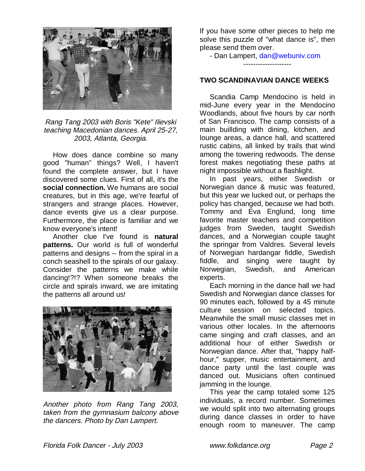

Rang Tang 2003 with Boris "Kete" Ilievski teaching Macedonian dances. April 25-27, 2003, Atlanta, Georgia.

 How does dance combine so many good "human" things? Well, I haven't found the complete answer, but I have discovered some clues. First of all, it's the **social connection.** We humans are social creatures, but in this age, we're fearful of strangers and strange places. However, dance events give us a clear purpose. Furthermore, the place is familiar and we know everyone's intent!

 Another clue I've found is **natural patterns.** Our world is full of wonderful patterns and designs -- from the spiral in a conch seashell to the spirals of our galaxy. Consider the patterns we make while dancing!?!? When someone breaks the circle and spirals inward, we are imitating the patterns all around us!



Another photo from Rang Tang 2003, taken from the gymnasium balcony above the dancers. Photo by Dan Lampert.

If you have some other pieces to help me solve this puzzle of "what dance is", then please send them over.

- Dan Lampert, dan@webuniv.com

--------------------

#### **TWO SCANDINAVIAN DANCE WEEKS**

 Scandia Camp Mendocino is held in mid-June every year in the Mendocino Woodlands, about five hours by car north of San Francisco. The camp consists of a main buillding with dining, kitchen, and lounge areas, a dance hall, and scattered rustic cabins, all linked by trails that wind among the towering redwoods. The dense forest makes negotiating these paths at night impossible without a flashlight.

 In past years, either Swedish or Norwegian dance & music was featured, but this year we lucked out, or perhaps the policy has changed, because we had both. Tommy and Eva Englund, long time favorite master teachers and competition judges from Sweden, taught Swedish dances, and a Norwegian couple taught the springar from Valdres. Several levels of Norwegian hardangar fiddle, Swedish fiddle, and singing were taught by Norwegian, Swedish, and American experts.

 Each morning in the dance hall we had Swedish and Norwegian dance classes for 90 minutes each, followed by a 45 minute culture session on selected topics. Meanwhile the small music classes met in various other locales. In the afternoons came singing and craft classes, and an additional hour of either Swedish or Norwegian dance. After that, "happy halfhour," supper, music entertainment, and dance party until the last couple was danced out. Musicians often continued jamming in the lounge.

 This year the camp totaled some 125 individuals, a record number. Sometimes we would split into two alternating groups during dance classes in order to have enough room to maneuver. The camp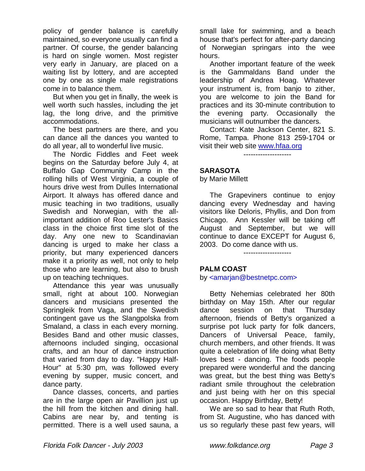policy of gender balance is carefully maintained, so everyone usually can find a partner. Of course, the gender balancing is hard on single women. Most register very early in January, are placed on a waiting list by lottery, and are accepted one by one as single male registrations come in to balance them.

 But when you get in finally, the week is well worth such hassles, including the jet lag, the long drive, and the primitive accommodations.

 The best partners are there, and you can dance all the dances you wanted to do all year, all to wonderful live music.

 The Nordic Fiddles and Feet week begins on the Saturday before July 4, at Buffalo Gap Community Camp in the rolling hills of West Virginia, a couple of hours drive west from Dulles International Airport. It always has offered dance and music teaching in two traditions, usually Swedish and Norwegian, with the allimportant addition of Roo Lester's Basics class in the choice first time slot of the day. Any one new to Scandinavian dancing is urged to make her class a priority, but many experienced dancers make it a priority as well, not only to help those who are learning, but also to brush up on teaching techniques.

 Attendance this year was unusually small, right at about 100. Norwegian dancers and musicians presented the Springleik from Vaga, and the Swedish contingent gave us the Slangpolska from Smaland, a class in each every morning. Besides Band and other music classes, afternoons included singing, occasional crafts, and an hour of dance instruction that varied from day to day. "Happy Half-Hour" at 5:30 pm, was followed every evening by supper, music concert, and dance party.

 Dance classes, concerts, and parties are in the large open air Pavillion just up the hill from the kitchen and dining hall. Cabins are near by, and tenting is permitted. There is a well used sauna, a

small lake for swimming, and a beach house that's perfect for after-party dancing of Norwegian springars into the wee hours.

 Another important feature of the week is the Gammaldans Band under the leadership of Andrea Hoag. Whatever your instrument is, from banjo to zither, you are welcome to join the Band for practices and its 30-minute contribution to the evening party. Occasionally the musicians will outnumber the dancers.

 Contact: Kate Jackson Center, 821 S. Rome, Tampa. Phone 813 259-1704 or visit their web site www.hfaa.org

--------------------

#### **SARASOTA**

by Marie Millett

 The Grapeviners continue to enjoy dancing every Wednesday and having visitors like Deloris, Phyllis, and Don from Chicago. Ann Kessler will be taking off August and September, but we will continue to dance EXCEPT for August 6, 2003. Do come dance with us.

--------------------

# **PALM COAST**

by <amarjan@bestnetpc.com>

 Betty Nehemias celebrated her 80th birthday on May 15th. After our regular dance session on that Thursday afternoon, friends of Betty's organized a surprise pot luck party for folk dancers, Dancers of Universal Peace, family, church members, and other friends. It was quite a celebration of life doing what Betty loves best - dancing. The foods people prepared were wonderful and the dancing was great, but the best thing was Betty's radiant smile throughout the celebration and just being with her on this special occasion. Happy Birthday, Betty!

 We are so sad to hear that Ruth Roth, from St. Augustine, who has danced with us so regularly these past few years, will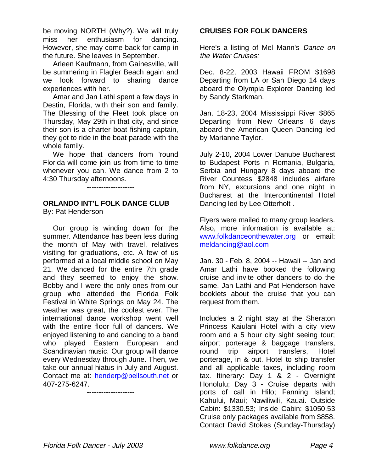be moving NORTH (Why?). We will truly miss her enthusiasm for dancing. However, she may come back for camp in the future. She leaves in September.

 Arleen Kaufmann, from Gainesville, will be summering in Flagler Beach again and we look forward to sharing dance experiences with her.

 Amar and Jan Lathi spent a few days in Destin, Florida, with their son and family. The Blessing of the Fleet took place on Thursday, May 29th in that city, and since their son is a charter boat fishing captain, they got to ride in the boat parade with the whole family.

 We hope that dancers from 'round Florida will come join us from time to time whenever you can. We dance from 2 to 4:30 Thursday afternoons.

--------------------

# **ORLANDO INT'L FOLK DANCE CLUB**

By: Pat Henderson

 Our group is winding down for the summer. Attendance has been less during the month of May with travel, relatives visiting for graduations, etc. A few of us performed at a local middle school on May 21. We danced for the entire 7th grade and they seemed to enjoy the show. Bobby and I were the only ones from our group who attended the Florida Folk Festival in White Springs on May 24. The weather was great, the coolest ever. The international dance workshop went well with the entire floor full of dancers. We enjoyed listening to and dancing to a band who played Eastern European and Scandinavian music. Our group will dance every Wednesday through June. Then, we take our annual hiatus in July and August. Contact me at: henderp@bellsouth.net or 407-275-6247.

--------------------

# **CRUISES FOR FOLK DANCERS**

Here's a listing of Mel Mann's Dance on the Water Cruises:

Dec. 8-22, 2003 Hawaii FROM \$1698 Departing from LA or San Diego 14 days aboard the Olympia Explorer Dancing led by Sandy Starkman.

Jan. 18-23, 2004 Mississippi River \$865 Departing from New Orleans 6 days aboard the American Queen Dancing led by Marianne Taylor.

July 2-10, 2004 Lower Danube Bucharest to Budapest Ports in Romania, Bulgaria, Serbia and Hungary 8 days aboard the River Countess \$2848 includes airfare from NY, excursions and one night in Bucharest at the Intercontinental Hotel Dancing led by Lee Otterholt .

Flyers were mailed to many group leaders. Also, more information is available at: www.folkdanceonthewater.org or email: meldancing@aol.com

Jan. 30 - Feb. 8, 2004 -- Hawaii -- Jan and Amar Lathi have booked the following cruise and invite other dancers to do the same. Jan Lathi and Pat Henderson have booklets about the cruise that you can request from them.

Includes a 2 night stay at the Sheraton Princess Kaiulani Hotel with a city view room and a 5 hour city sight seeing tour; airport porterage & baggage transfers, round trip airport transfers, Hotel porterage, in & out. Hotel to ship transfer and all applicable taxes, including room tax. Itinerary: Day 1 & 2 - Overnight Honolulu; Day 3 - Cruise departs with ports of call in Hilo; Fanning Island; Kahului, Maui; Nawiliwili, Kauai. Outside Cabin: \$1330.53; Inside Cabin: \$1050.53 Cruise only packages available from \$858. Contact David Stokes (Sunday-Thursday)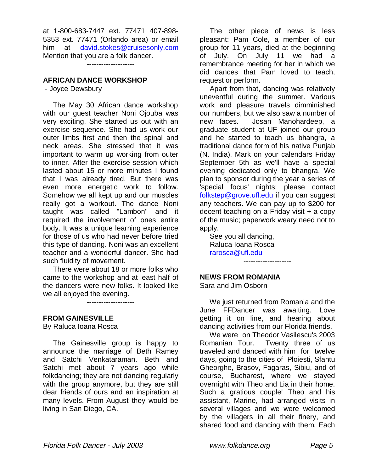at 1-800-683-7447 ext. 77471 407-898- 5353 ext. 77471 (Orlando area) or email him at david.stokes@cruisesonly.com Mention that you are a folk dancer.

--------------------

# **AFRICAN DANCE WORKSHOP**

- Joyce Dewsbury

 The May 30 African dance workshop with our guest teacher Noni Ojouba was very exciting. She started us out with an exercise sequence. She had us work our outer limbs first and then the spinal and neck areas. She stressed that it was important to warm up working from outer to inner. After the exercise session which lasted about 15 or more minutes I found that I was already tired. But there was even more energetic work to follow. Somehow we all kept up and our muscles really got a workout. The dance Noni taught was called "Lambon" and it required the involvement of ones entire body. It was a unique learning experience for those of us who had never before tried this type of dancing. Noni was an excellent teacher and a wonderful dancer. She had such fluidity of movement.

 There were about 18 or more folks who came to the workshop and at least half of the dancers were new folks. It looked like we all enjoyed the evening.

--------------------

#### **FROM GAINESVILLE**

By Raluca Ioana Rosca

 The Gainesville group is happy to announce the marriage of Beth Ramey and Satchi Venkataraman. Beth and Satchi met about 7 years ago while folkdancing; they are not dancing regularly with the group anymore, but they are still dear friends of ours and an inspiration at many levels. From August they would be living in San Diego, CA.

 The other piece of news is less pleasant: Pam Cole, a member of our group for 11 years, died at the beginning of July. On July 11 we had a remembrance meeting for her in which we did dances that Pam loved to teach, request or perform.

 Apart from that, dancing was relatively uneventful during the summer. Various work and pleasure travels dimminished our numbers, but we also saw a number of new faces. Josan Manohardeep, a graduate student at UF joined our group and he started to teach us bhangra, a traditional dance form of his native Punjab (N. India). Mark on your calendars Friday September 5th as we'll have a special evening dedicated only to bhangra. We plan to sponsor during the year a series of 'special focus' nights; please contact folkstep@grove.ufl.edu if you can suggest any teachers. We can pay up to \$200 for decent teaching on a Friday visit + a copy of the music; paperwork weary need not to apply.

 See you all dancing, Raluca Ioana Rosca rarosca@ufl.edu --------------------

# **NEWS FROM ROMANIA**

Sara and Jim Osborn

 We just returned from Romania and the June FFDancer was awaiting. Love getting it on line, and hearing about dancing activities from our Florida friends.

 We were on Theodor Vasilescu's 2003 Romanian Tour. Twenty three of us traveled and danced with him for twelve days, going to the cities of Ploiesti, Sfantu Gheorghe, Brasov, Fagaras, Sibiu, and of course, Bucharest, where we stayed overnight with Theo and Lia in their home. Such a gratious couple! Theo and his assistant, Marine, had arranged visits in several villages and we were welcomed by the villagers in all their finery, and shared food and dancing with them. Each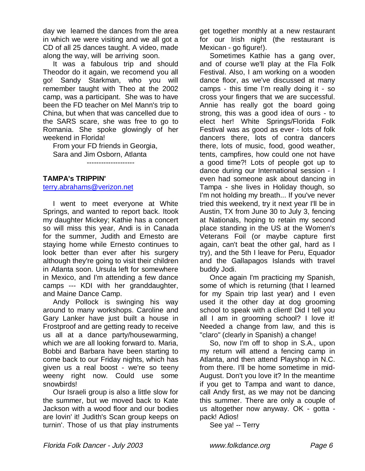day we learned the dances from the area in which we were visiting and we all got a CD of all 25 dances taught. A video, made along the way, will be arriving soon.

 It was a fabulous trip and should Theodor do it again, we recomend you all go! Sandy Starkman, who you will remember taught with Theo at the 2002 camp, was a participant. She was to have been the FD teacher on Mel Mann's trip to China, but when that was cancelled due to the SARS scare, she was free to go to Romania. She spoke glowingly of her weekend in Florida!

 From your FD friends in Georgia, Sara and Jim Osborn, Atlanta

--------------------

## **TAMPA's TRIPPIN'**

terry.abrahams@verizon.net

 I went to meet everyone at White Springs, and wanted to report back. Itook my daughter Mickey; Kathie has a concert so will miss this year, Andi is in Canada for the summer, Judith and Ernesto are staying home while Ernesto continues to look better than ever after his surgery although they're going to visit their children in Atlanta soon. Ursula left for somewhere in Mexico, and I'm attending a few dance camps --- KDI with her granddaughter, and Maine Dance Camp.

 Andy Pollock is swinging his way around to many workshops. Caroline and Gary Lanker have just built a house in Frostproof and are getting ready to receive us all at a dance party/housewarming, which we are all looking forward to. Maria, Bobbi and Barbara have been starting to come back to our Friday nights, which has given us a real boost - we're so teeny weeny right now. Could use some snowbirds!

 Our Israeli group is also a little slow for the summer, but we moved back to Kate Jackson with a wood floor and our bodies are lovin' it! Judith's Scan group keeps on turnin'. Those of us that play instruments

get together monthly at a new restaurant for our Irish night (the restaurant is Mexican - go figure!).

 Sometimes Kathie has a gang over, and of course we'll play at the Fla Folk Festival. Also, I am working on a wooden dance floor, as we've discussed at many camps - this time I'm really doing it - so cross your fingers that we are successful. Annie has really got the board going strong, this was a good idea of ours - to elect her! White Springs/Florida Folk Festival was as good as ever - lots of folk dancers there, lots of contra dancers there, lots of music, food, good weather, tents, campfires, how could one not have a good time?! Lots of people got up to dance during our International session - I even had someone ask about dancing in Tampa - she lives in Holiday though, so I'm not holding my breath... If you've never tried this weekend, try it next year I'll be in Austin, TX from June 30 to July 3, fencing at Nationals, hoping to retain my second place standing in the US at the Women's Veterans Foil (or maybe capture first again, can't beat the other gal, hard as I try), and the 5th I leave for Peru, Equador and the Gallapagos Islands with travel buddy Jodi.

 Once again I'm practicing my Spanish, some of which is returning (that I learned for my Spain trip last year) and I even used it the other day at dog grooming school to speak with a client! Did I tell you all I am in grooming school? I love it! Needed a change from law, and this is "claro" (clearly in Spanish) a change!

 So, now I'm off to shop in S.A., upon my return will attend a fencing camp in Atlanta, and then attend Playshop in N.C. from there. I'll be home sometime in mid-August. Don't you love it? In the meantime if you get to Tampa and want to dance, call Andy first, as we may not be dancing this summer. There are only a couple of us altogether now anyway. OK - gotta pack! Adios!

See ya! -- Terry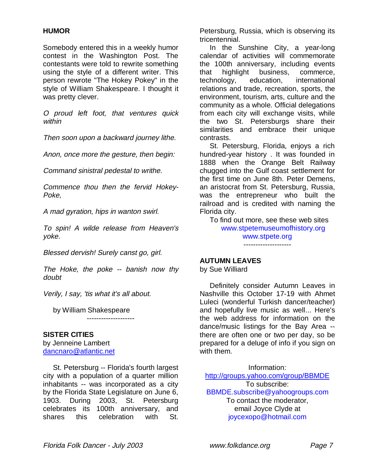# **HUMOR**

Somebody entered this in a weekly humor contest in the Washington Post. The contestants were told to rewrite something using the style of a different writer. This person rewrote "The Hokey Pokey" in the style of William Shakespeare. I thought it was pretty clever.

O proud left foot, that ventures quick within

Then soon upon a backward journey lithe.

Anon, once more the gesture, then begin:

Command sinistral pedestal to writhe.

Commence thou then the fervid Hokey-Poke,

A mad gyration, hips in wanton swirl.

To spin! A wilde release from Heaven's yoke.

Blessed dervish! Surely canst go, girl.

The Hoke, the poke -- banish now thy doubt

--------------------

Verily, I say, 'tis what it's all about.

by William Shakespeare

#### **SISTER CITIES**

by Jenneine Lambert dancnaro@atlantic.net

 St. Petersburg -- Florida's fourth largest city with a population of a quarter million inhabitants -- was incorporated as a city by the Florida State Legislature on June 6, 1903. During 2003, St. Petersburg celebrates its 100th anniversary, and shares this celebration with St.

Petersburg, Russia, which is observing its tricentennial.

 In the Sunshine City, a year-long calendar of activities will commemorate the 100th anniversary, including events that highlight business, commerce, technology, education, international relations and trade, recreation, sports, the environment, tourism, arts, culture and the community as a whole. Official delegations from each city will exchange visits, while the two St. Petersburgs share their similarities and embrace their unique contrasts.

 St. Petersburg, Florida, enjoys a rich hundred-year history . It was founded in 1888 when the Orange Belt Railway chugged into the Gulf coast settlement for the first time on June 8th. Peter Demens, an aristocrat from St. Petersburg, Russia, was the entrepreneur who built the railroad and is credited with naming the Florida city.

 To find out more, see these web sites www.stpetemuseumofhistory.org www.stpete.org --------------------

#### **AUTUMN LEAVES**

by Sue Williard

 Definitely consider Autumn Leaves in Nashville this October 17-19 with Ahmet Luleci (wonderful Turkish dancer/teacher) and hopefully live music as well... Here's the web address for information on the dance/music listings for the Bay Area - there are often one or two per day, so be prepared for a deluge of info if you sign on with them.

Information: http://groups.yahoo.com/group/BBMDE To subscribe: BBMDE.subscribe@yahoogroups.com To contact the moderator, email Joyce Clyde at joycexopo@hotmail.com